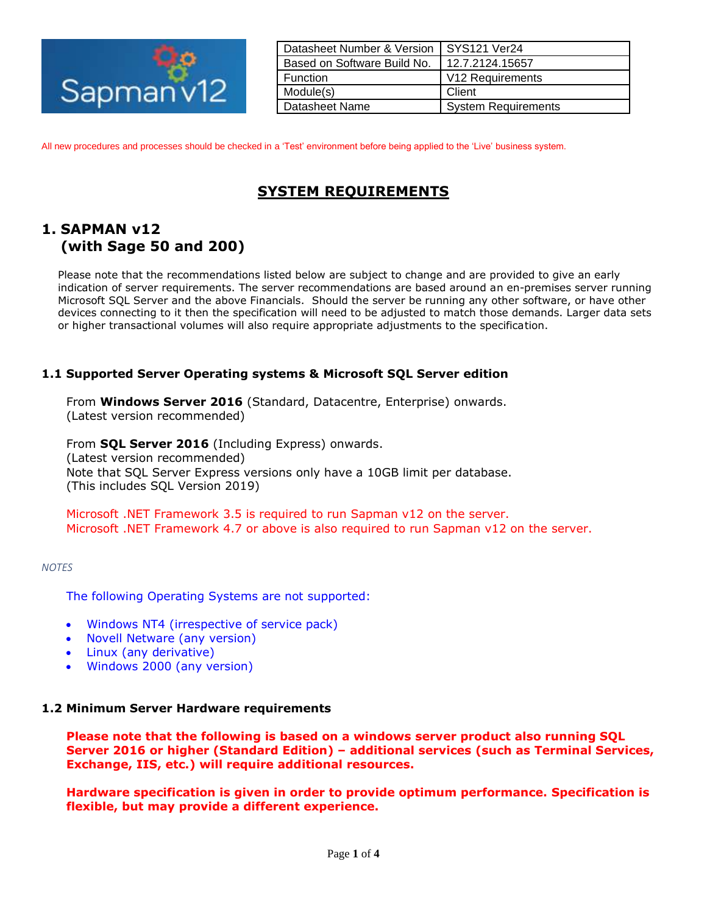

| Datasheet Number & Version  | SYS121 Ver24               |
|-----------------------------|----------------------------|
| Based on Software Build No. | 12.7.2124.15657            |
| <b>Function</b>             | V12 Requirements           |
| Module(s)                   | Client                     |
| Datasheet Name              | <b>System Requirements</b> |

All new procedures and processes should be checked in a 'Test' environment before being applied to the 'Live' business system.

# **SYSTEM REQUIREMENTS**

## **1. SAPMAN v12 (with Sage 50 and 200)**

Please note that the recommendations listed below are subject to change and are provided to give an early indication of server requirements. The server recommendations are based around an en-premises server running Microsoft SQL Server and the above Financials. Should the server be running any other software, or have other devices connecting to it then the specification will need to be adjusted to match those demands. Larger data sets or higher transactional volumes will also require appropriate adjustments to the specification.

## **1.1 Supported Server Operating systems & Microsoft SQL Server edition**

From **Windows Server 2016** (Standard, Datacentre, Enterprise) onwards. (Latest version recommended)

From **SQL Server 2016** (Including Express) onwards. (Latest version recommended) Note that SQL Server Express versions only have a 10GB limit per database. (This includes SQL Version 2019)

Microsoft .NET Framework 3.5 is required to run Sapman v12 on the server. Microsoft .NET Framework 4.7 or above is also required to run Sapman v12 on the server.

*NOTES*

The following Operating Systems are not supported:

- Windows NT4 (irrespective of service pack)
- Novell Netware (any version)
- Linux (any derivative)
- Windows 2000 (any version)

## **1.2 Minimum Server Hardware requirements**

**Please note that the following is based on a windows server product also running SQL Server 2016 or higher (Standard Edition) – additional services (such as Terminal Services, Exchange, IIS, etc.) will require additional resources.**

**Hardware specification is given in order to provide optimum performance. Specification is flexible, but may provide a different experience.**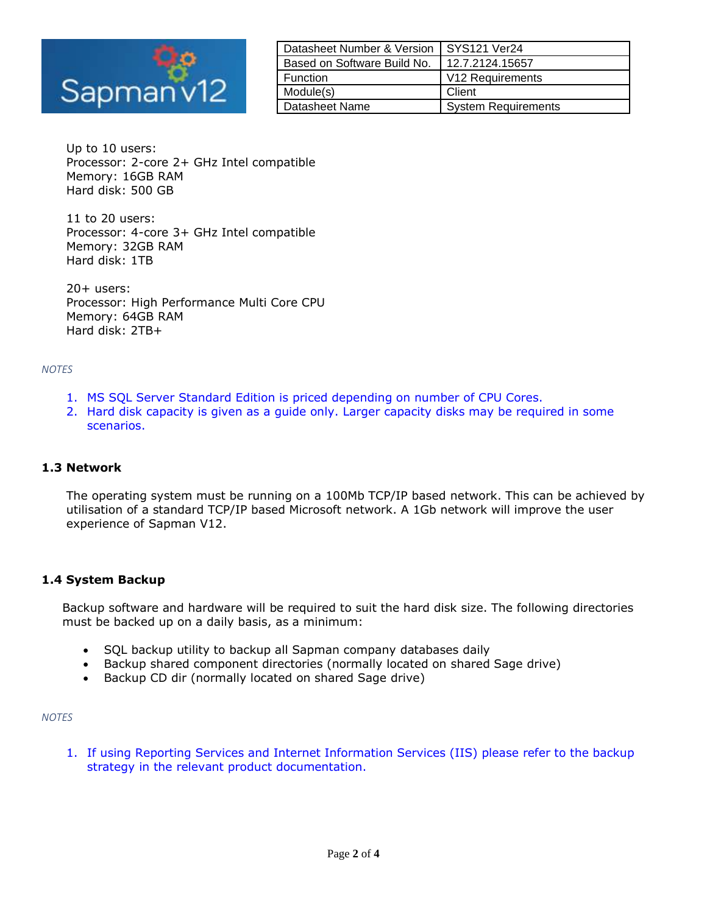

| Datasheet Number & Version  | SYS121 Ver24                 |
|-----------------------------|------------------------------|
| Based on Software Build No. | 12.7.2124.15657              |
| <b>Function</b>             | V <sub>12</sub> Requirements |
| Module(s)                   | Client                       |
| Datasheet Name              | <b>System Requirements</b>   |

Up to 10 users: Processor: 2-core 2+ GHz Intel compatible Memory: 16GB RAM Hard disk: 500 GB

11 to 20 users: Processor: 4-core 3+ GHz Intel compatible Memory: 32GB RAM Hard disk: 1TB

20+ users: Processor: High Performance Multi Core CPU Memory: 64GB RAM Hard disk: 2TB+

#### *NOTES*

- 1. MS SQL Server Standard Edition is priced depending on number of CPU Cores.
- 2. Hard disk capacity is given as a guide only. Larger capacity disks may be required in some scenarios.

## **1.3 Network**

The operating system must be running on a 100Mb TCP/IP based network. This can be achieved by utilisation of a standard TCP/IP based Microsoft network. A 1Gb network will improve the user experience of Sapman V12.

## **1.4 System Backup**

Backup software and hardware will be required to suit the hard disk size. The following directories must be backed up on a daily basis, as a minimum:

- SQL backup utility to backup all Sapman company databases daily
- Backup shared component directories (normally located on shared Sage drive)
- Backup CD dir (normally located on shared Sage drive)

#### *NOTES*

1. If using Reporting Services and Internet Information Services (IIS) please refer to the backup strategy in the relevant product documentation.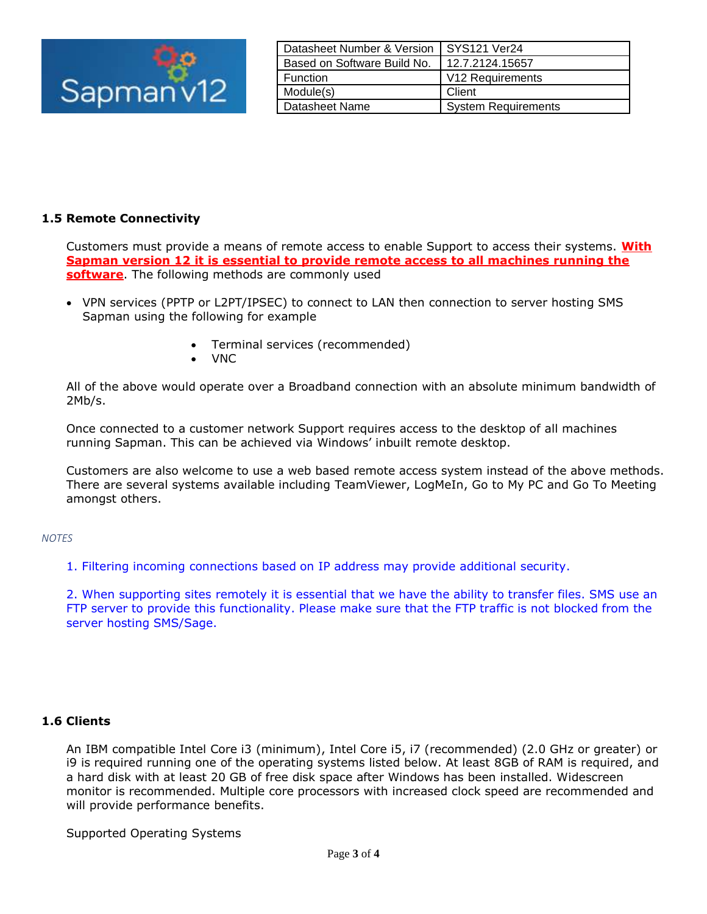

| Datasheet Number & Version  | <b>SYS121 Ver24</b>          |
|-----------------------------|------------------------------|
| Based on Software Build No. | 12.7.2124.15657              |
| <b>Function</b>             | V <sub>12</sub> Requirements |
| Module(s)                   | Client                       |
| Datasheet Name              | <b>System Requirements</b>   |

## **1.5 Remote Connectivity**

Customers must provide a means of remote access to enable Support to access their systems. **With Sapman version 12 it is essential to provide remote access to all machines running the software**. The following methods are commonly used

- VPN services (PPTP or L2PT/IPSEC) to connect to LAN then connection to server hosting SMS Sapman using the following for example
	- Terminal services (recommended)
	- VNC

All of the above would operate over a Broadband connection with an absolute minimum bandwidth of 2Mb/s.

Once connected to a customer network Support requires access to the desktop of all machines running Sapman. This can be achieved via Windows' inbuilt remote desktop.

Customers are also welcome to use a web based remote access system instead of the above methods. There are several systems available including TeamViewer, LogMeIn, Go to My PC and Go To Meeting amongst others.

#### *NOTES*

1. Filtering incoming connections based on IP address may provide additional security.

2. When supporting sites remotely it is essential that we have the ability to transfer files. SMS use an FTP server to provide this functionality. Please make sure that the FTP traffic is not blocked from the server hosting SMS/Sage.

## **1.6 Clients**

An IBM compatible Intel Core i3 (minimum), Intel Core i5, i7 (recommended) (2.0 GHz or greater) or i9 is required running one of the operating systems listed below. At least 8GB of RAM is required, and a hard disk with at least 20 GB of free disk space after Windows has been installed. Widescreen monitor is recommended. Multiple core processors with increased clock speed are recommended and will provide performance benefits.

Supported Operating Systems